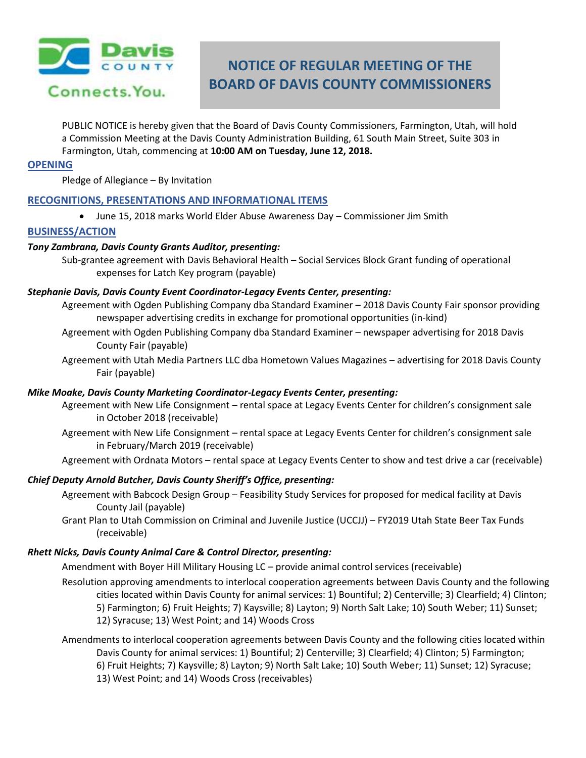

# **NOTICE OF REGULAR MEETING OF THE BOARD OF DAVIS COUNTY COMMISSIONERS**

PUBLIC NOTICE is hereby given that the Board of Davis County Commissioners, Farmington, Utah, will hold a Commission Meeting at the Davis County Administration Building, 61 South Main Street, Suite 303 in Farmington, Utah, commencing at **10:00 AM on Tuesday, June 12, 2018.**

#### **OPENING**

Pledge of Allegiance – By Invitation

# **RECOGNITIONS, PRESENTATIONS AND INFORMATIONAL ITEMS**

June 15, 2018 marks World Elder Abuse Awareness Day – Commissioner Jim Smith

# **BUSINESS/ACTION**

## *Tony Zambrana, Davis County Grants Auditor, presenting:*

Sub-grantee agreement with Davis Behavioral Health – Social Services Block Grant funding of operational expenses for Latch Key program (payable)

## *Stephanie Davis, Davis County Event Coordinator-Legacy Events Center, presenting:*

- Agreement with Ogden Publishing Company dba Standard Examiner 2018 Davis County Fair sponsor providing newspaper advertising credits in exchange for promotional opportunities (in-kind)
- Agreement with Ogden Publishing Company dba Standard Examiner newspaper advertising for 2018 Davis County Fair (payable)
- Agreement with Utah Media Partners LLC dba Hometown Values Magazines advertising for 2018 Davis County Fair (payable)

#### *Mike Moake, Davis County Marketing Coordinator-Legacy Events Center, presenting:*

- Agreement with New Life Consignment rental space at Legacy Events Center for children's consignment sale in October 2018 (receivable)
- Agreement with New Life Consignment rental space at Legacy Events Center for children's consignment sale in February/March 2019 (receivable)
- Agreement with Ordnata Motors rental space at Legacy Events Center to show and test drive a car (receivable)

# *Chief Deputy Arnold Butcher, Davis County Sheriff's Office, presenting:*

- Agreement with Babcock Design Group Feasibility Study Services for proposed for medical facility at Davis County Jail (payable)
- Grant Plan to Utah Commission on Criminal and Juvenile Justice (UCCJJ) FY2019 Utah State Beer Tax Funds (receivable)

#### *Rhett Nicks, Davis County Animal Care & Control Director, presenting:*

Amendment with Boyer Hill Military Housing LC – provide animal control services (receivable)

Resolution approving amendments to interlocal cooperation agreements between Davis County and the following cities located within Davis County for animal services: 1) Bountiful; 2) Centerville; 3) Clearfield; 4) Clinton; 5) Farmington; 6) Fruit Heights; 7) Kaysville; 8) Layton; 9) North Salt Lake; 10) South Weber; 11) Sunset; 12) Syracuse; 13) West Point; and 14) Woods Cross

Amendments to interlocal cooperation agreements between Davis County and the following cities located within Davis County for animal services: 1) Bountiful; 2) Centerville; 3) Clearfield; 4) Clinton; 5) Farmington; 6) Fruit Heights; 7) Kaysville; 8) Layton; 9) North Salt Lake; 10) South Weber; 11) Sunset; 12) Syracuse; 13) West Point; and 14) Woods Cross (receivables)